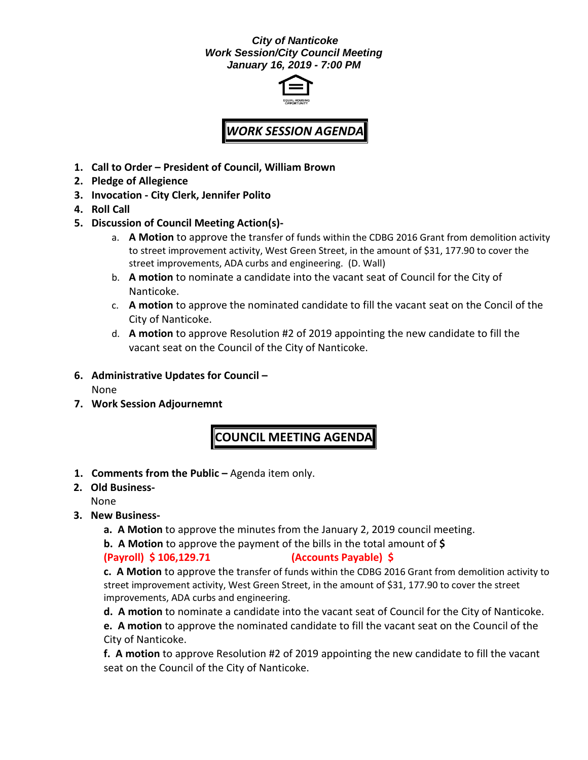#### *City of Nanticoke Work Session/City Council Meeting January 16, 2019 - 7:00 PM*



# *WORK SESSION AGENDA*

- **1. Call to Order – President of Council, William Brown**
- **2. Pledge of Allegience**
- **3. Invocation - City Clerk, Jennifer Polito**
- **4. Roll Call**
- **5. Discussion of Council Meeting Action(s)**
	- a. **A Motion** to approve the transfer of funds within the CDBG 2016 Grant from demolition activity to street improvement activity, West Green Street, in the amount of \$31, 177.90 to cover the street improvements, ADA curbs and engineering. (D. Wall)
	- b. **A motion** to nominate a candidate into the vacant seat of Council for the City of Nanticoke.
	- c. **A motion** to approve the nominated candidate to fill the vacant seat on the Concil of the City of Nanticoke.
	- d. **A motion** to approve Resolution #2 of 2019 appointing the new candidate to fill the vacant seat on the Council of the City of Nanticoke.
- **6. Administrative Updates for Council –**

None

**7. Work Session Adjournemnt**

## **COUNCIL MEETING AGENDA**

**1. Comments from the Public –** Agenda item only.

**2. Old Business-**

None

- **3. New Business**
	- **a. A Motion** to approve the minutes from the January 2, 2019 council meeting.

**b. A Motion** to approve the payment of the bills in the total amount of **\$** 

### **(Payroll) \$ 106,129.71 (Accounts Payable) \$**

**c. A Motion** to approve the transfer of funds within the CDBG 2016 Grant from demolition activity to street improvement activity, West Green Street, in the amount of \$31, 177.90 to cover the street improvements, ADA curbs and engineering.

**d. A motion** to nominate a candidate into the vacant seat of Council for the City of Nanticoke.

**e. A motion** to approve the nominated candidate to fill the vacant seat on the Council of the City of Nanticoke.

**f. A motion** to approve Resolution #2 of 2019 appointing the new candidate to fill the vacant seat on the Council of the City of Nanticoke.